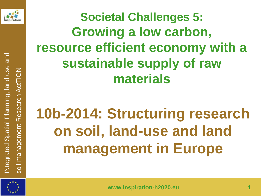

**Societal Challenges 5: Growing a low carbon, resource efficient economy with a sustainable supply of raw materials**

# **10b-2014: Structuring research on soil, land-use and land management in Europe**

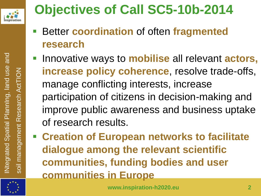

# **Objectives of Call SC5-10b-2014**

- Better **coordination** of often **fragmented research**
- Innovative ways to **mobilise** all relevant **actors, increase policy coherence**, resolve trade-offs, manage conflicting interests, increase participation of citizens in decision-making and improve public awareness and business uptake of research results.
- **Creation of European networks to facilitate dialogue among the relevant scientific communities, funding bodies and user communities in Europe**

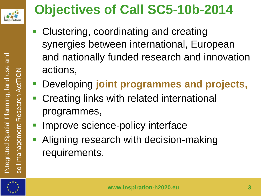

# **Objectives of Call SC5-10b-2014**

- Clustering, coordinating and creating synergies between international, European and nationally funded research and innovation actions,
- Developing **joint programmes and projects,**
- Creating links with related international programmes,
- Improve science-policy interface
- **Aligning research with decision-making** requirements.

 $\overline{5}$ 

INtegrated Spatial PlannIng, land use and

Ntegrated Spatial Planning, land use and

soil management Research ActTION

management Research ActTION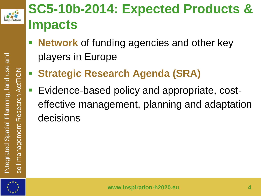

# **SC5-10b-2014: Expected Products & Impacts**

- **Network** of funding agencies and other key players in Europe
- **Strategic Research Agenda (SRA)**
- **Evidence-based policy and appropriate, cost**effective management, planning and adaptation decisions

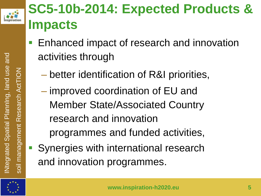

ActTION

# **SC5-10b-2014: Expected Products & Impacts**

- Enhanced impact of research and innovation activities through
	- better identification of R&I priorities,
	- improved coordination of EU and Member State/Associated Country research and innovation programmes and funded activities,
- Synergies with international research and innovation programmes.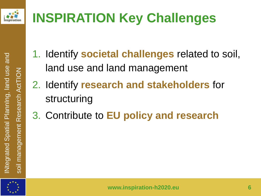

# **INSPIRATION Key Challenges**

- 1. Identify **societal challenges** related to soil, land use and land management
- 2. Identify **research and stakeholders** for structuring
- 3. Contribute to **EU policy and research**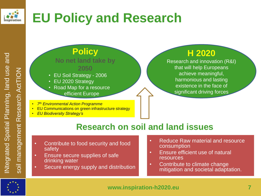

# **EU Policy and Research**

### **Policy No net land take by 2050**

- EU Soil Strategy 2006
- EU 2020 Strategy
- Road Map for a resource efficient Europe
- *7 th Environmental Action Programme*
- EU Communications on green infrastructure strategy
- *EU Biodiversity Strategy's*

## **H 2020**

Research and innovation (R&I) that will help Europeans achieve meaningful, harmonious and lasting existence in the face of significant driving forces

## **Research on soil and land issues**

- Contribute to food security and food safety
- Ensure secure supplies of safe drinking water
- Secure energy supply and distribution
- Reduce Raw material and resource consumption
- Ensure efficient use of natural resources
- Contribute to climate change mitigation and societal adaptation.

```
www.inspiration-h2020.eu 7
```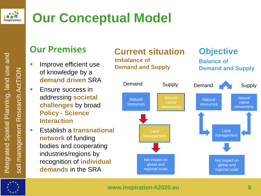

# **Our Conceptual Model**

## **Our Premises**

- **IMPROVE efficient use** of knowledge by a **demand driven** SRA
- **Ensure success in** addressing **societal challenges** by broad **Policy - Science Interaction**
- Establish a **transnational network** of funding bodies and cooperating industries/regions by recognition of **individual demands** in the SRA



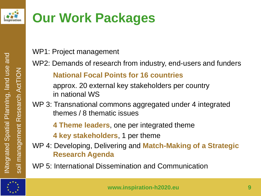

# **Our Work Packages**

WP1: Project management

WP2: Demands of research from industry, end-users and funders

**National Focal Points for 16 countries**

approx. 20 external key stakeholders per country in national WS

WP 3: Transnational commons aggregated under 4 integrated themes / 8 thematic issues

**4 Theme leaders**, one per integrated theme

**4 key stakeholders**, 1 per theme

WP 4: Developing, Delivering and **Match-Making of a Strategic Research Agenda**

WP 5: International Dissemination and Communication



INtegrated Spatial PlannIng, land use and

Ntegrated Spatial Planning, land use and

soil management Research ActTION

management

 $\overline{\overline{5}}$ 

Research ActTION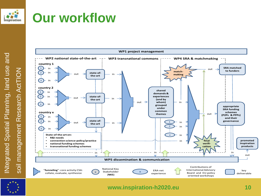

## **Our workflow**

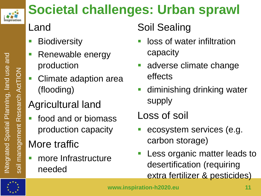

# **Societal challenges: Urban sprawl**

# Land

- **Biodiversity**
- **Renewable energy** production
- Climate adaption area (flooding)

# Agricultural land

**food and or biomass** production capacity

# More traffic

**name Infrastructure** needed

## Soil Sealing

- loss of water infiltration capacity
- adverse climate change effects
- diminishing drinking water supply
- Loss of soil
- ecosystem services (e.g. carbon storage)
- Less organic matter leads to desertification (requiring extra fertilizer & pesticides)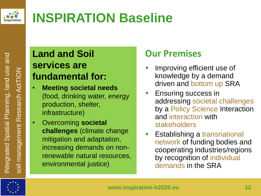

# **INSPIRATION Baseline**

## **Land and Soil services are fundamental for:**

- **Meeting societal needs** (food, drinking water, energy production, shelter, infrastructure)
- Overcoming **societal challenges** (climate change mitigation and adaptation, increasing demands on nonrenewable natural resources, environmental justice)

## **Our Premises**

- Improving efficient use of knowledge by a demand driven and bottom up SRA
- Ensuring success in addressing societal challenges by a Policy Science Interaction and interaction with stakeholders
- Establishing a transnational network of funding bodies and cooperating industries/regions by recognition of individual demands in the SRA

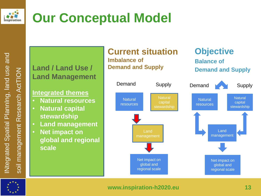

# **Our Conceptual Model**

# soil management Research ActTION soil management Research ActTION

## **Land / Land Use / Land Management**

## **Integrated themes**

- **Natural resources**
- **Natural capital stewardship**
- **Land management**
- **Net impact on global and regional scale**



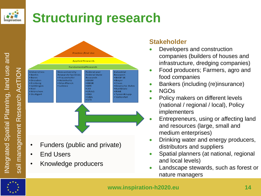

# **Structuring research**



**Practice /End Use Applied Research** FundamentalResearch Universities: Non-university **Federal and** Industrial · Berlin **Research Facilities Federal State** Research  $• Bonn$ • Frauenhofer **BASF SE** Research • Dresden · Helmholtz  $•**BAM**$ • Baver · Freiberg • Max Planck  $\cdot$  BBSR  $\cdot$  Claas · Leibniz  $\cdot$  BfR · Göttingen · Deutsche Bahn  $\bullet$  JKI · Kali&Salz • Kiel • LfULG · München  $\cdot$  RWE · Stuttgart  $\cdot$  RKI • TyssenKrupp  $\cdot$  UBA · Vattenfall · VTI • Funders (public and private) • End Users • Knowledge producers

### **Stakeholder**

- Developers and construction companies (builders of houses and infrastructure, dredging companies)
- Food producers; Farmers, agro and food companies
- Bankers (including (re)insurance)
- NGOs
- Policy makers on different levels (national / regional / local), Policy implementers
- Entrepreneurs, using or affecting land and resources (large, small and medium enterprises)
- Drinking water and energy producers, distributors and suppliers
- Spatial planners (at national, regional and local levels)
- Landscape stewards, such as forest or nature managers

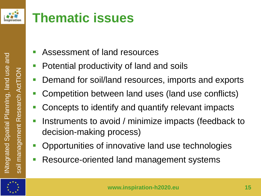

# **Thematic issues**

- Assessment of land resources
- Potential productivity of land and soils
- Demand for soil/land resources, imports and exports
- Competition between land uses (land use conflicts)
- Concepts to identify and quantify relevant impacts
- Instruments to avoid / minimize impacts (feedback to decision-making process)
- **Opportunities of innovative land use technologies**
- Resource-oriented land management systems

INtegrated Spatial PlannIng, land use and

Ntegrated Spatial Planning, land use and

soil management Research ActTION

management Research ActTION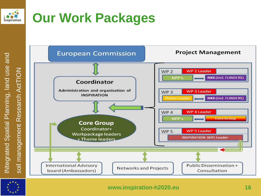

# **Our Work Packages**



INtegrated Spatial PlannIng, land use and INtegrated Spatial Planning, land use and